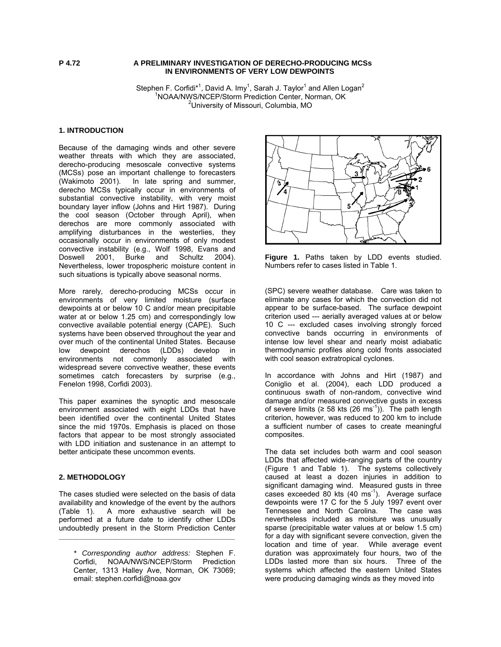## **P 4.72 A PRELIMINARY INVESTIGATION OF DERECHO-PRODUCING MCSs IN ENVIRONMENTS OF VERY LOW DEWPOINTS**

Stephen F. Corfidi\*<sup>1</sup>, David A. Imy<sup>1</sup>, Sarah J. Taylor<sup>1</sup> and Allen Logan<sup>2</sup> <sup>1</sup>NOAA/NWS/NCEP/Storm Prediction Center, Norman, OK <sup>2</sup>University of Missouri, Columbia, MO

# **1. INTRODUCTION**

Because of the damaging winds and other severe weather threats with which they are associated, derecho-producing mesoscale convective systems (MCSs) pose an important challenge to forecasters (Wakimoto 2001). In late spring and summer, derecho MCSs typically occur in environments of substantial convective instability, with very moist boundary layer inflow (Johns and Hirt 1987). During the cool season (October through April), when derechos are more commonly associated with amplifying disturbances in the westerlies, they occasionally occur in environments of only modest convective instability (e.g., Wolf 1998, Evans and Doswell 2001, Burke and Schultz 2004). Nevertheless, lower tropospheric moisture content in such situations is typically above seasonal norms.

More rarely, derecho-producing MCSs occur in environments of very limited moisture (surface dewpoints at or below 10 C and/or mean precipitable water at or below 1.25 cm) and correspondingly low convective available potential energy (CAPE). Such systems have been observed throughout the year and over much of the continental United States. Because low dewpoint derechos (LDDs) develop in environments not commonly associated with widespread severe convective weather, these events sometimes catch forecasters by surprise (e.g., Fenelon 1998, Corfidi 2003).

This paper examines the synoptic and mesoscale environment associated with eight LDDs that have been identified over the continental United States since the mid 1970s. Emphasis is placed on those factors that appear to be most strongly associated with LDD initiation and sustenance in an attempt to better anticipate these uncommon events.

# **2. METHODOLOGY**

The cases studied were selected on the basis of data availability and knowledge of the event by the authors (Table 1). A more exhaustive search will be performed at a future date to identify other LDDs undoubtedly present in the Storm Prediction Center

**\_\_\_\_\_\_\_\_\_\_\_\_\_\_\_\_\_\_\_\_\_\_\_\_\_\_\_\_\_\_\_\_\_\_\_\_\_\_\_\_\_\_\_** 



**Figure 1.** Paths taken by LDD events studied. Numbers refer to cases listed in Table 1.

(SPC) severe weather database. Care was taken to eliminate any cases for which the convection did not appear to be surface-based. The surface dewpoint criterion used --- aerially averaged values at or below 10 C --- excluded cases involving strongly forced convective bands occurring in environments of intense low level shear and nearly moist adiabatic thermodynamic profiles along cold fronts associated with cool season extratropical cyclones.

In accordance with Johns and Hirt (1987) and Coniglio et al. (2004), each LDD produced a continuous swath of non-random, convective wind damage and/or measured convective gusts in excess of severe limits ( $\geq$  58 kts (26 ms<sup>-1</sup>)). The path length criterion, however, was reduced to 200 km to include a sufficient number of cases to create meaningful composites.

The data set includes both warm and cool season LDDs that affected wide-ranging parts of the country (Figure 1 and Table 1). The systems collectively caused at least a dozen injuries in addition to significant damaging wind. Measured gusts in three cases exceeded 80 kts  $(40 \text{ ms}^{-1})$ . Average surface dewpoints were 17 C for the 5 July 1997 event over Tennessee and North Carolina. The case was nevertheless included as moisture was unusually sparse (precipitable water values at or below 1.5 cm) for a day with significant severe convection, given the location and time of year. While average event duration was approximately four hours, two of the LDDs lasted more than six hours. Three of the systems which affected the eastern United States were producing damaging winds as they moved into

*<sup>\*</sup> Corresponding author address:* Stephen F. Corfidi, NOAA/NWS/NCEP/Storm Prediction Center, 1313 Halley Ave, Norman, OK 73069; email: stephen.corfidi@noaa.gov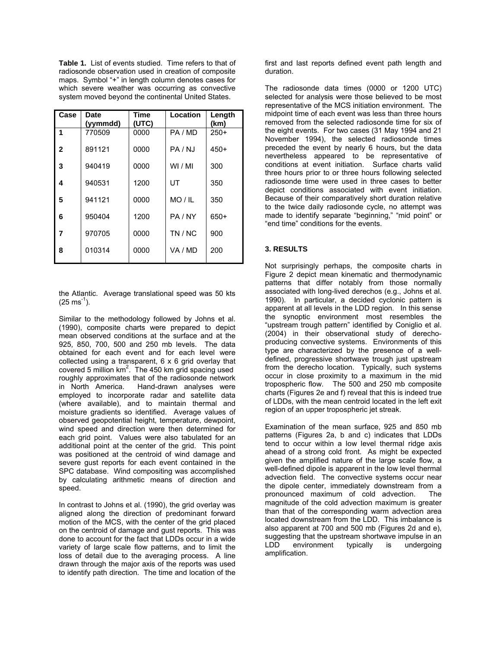**Table 1.** List of events studied. Time refers to that of radiosonde observation used in creation of composite maps. Symbol "+" in length column denotes cases for which severe weather was occurring as convective system moved beyond the continental United States.

| Case           | <b>Date</b><br>(yymmdd) | Time<br>(UTC) | Location | Length<br>(km) |
|----------------|-------------------------|---------------|----------|----------------|
| 1              | 770509                  | 0000          | PA / MD  | $250+$         |
| 2              | 891121                  | 0000          | PA / NJ  | 450+           |
| 3              | 940419                  | 0000          | WI / MI  | 300            |
| 4              | 940531                  | 1200          | UT       | 350            |
| 5              | 941121                  | 0000          | MO / IL  | 350            |
| 6              | 950404                  | 1200          | PA / NY  | $650+$         |
| $\overline{7}$ | 970705                  | 0000          | TN / NC  | 900            |
| 8              | 010314                  | 0000          | VA / MD  | 200            |

the Atlantic. Average translational speed was 50 kts  $(25 \text{ ms}^{-1})$ .

Similar to the methodology followed by Johns et al. (1990), composite charts were prepared to depict mean observed conditions at the surface and at the 925, 850, 700, 500 and 250 mb levels. The data obtained for each event and for each level were collected using a transparent, 6 x 6 grid overlay that covered 5 million  $km^2$ . The 450 km grid spacing used roughly approximates that of the radiosonde network in North America. Hand-drawn analyses were employed to incorporate radar and satellite data (where available), and to maintain thermal and moisture gradients so identified. Average values of observed geopotential height, temperature, dewpoint, wind speed and direction were then determined for each grid point. Values were also tabulated for an additional point at the center of the grid. This point was positioned at the centroid of wind damage and severe gust reports for each event contained in the SPC database. Wind compositing was accomplished by calculating arithmetic means of direction and speed.

In contrast to Johns et al. (1990), the grid overlay was aligned along the direction of predominant forward motion of the MCS, with the center of the grid placed on the centroid of damage and gust reports. This was done to account for the fact that LDDs occur in a wide variety of large scale flow patterns, and to limit the loss of detail due to the averaging process. A line drawn through the major axis of the reports was used to identify path direction. The time and location of the

first and last reports defined event path length and duration.

The radiosonde data times (0000 or 1200 UTC) selected for analysis were those believed to be most representative of the MCS initiation environment. The midpoint time of each event was less than three hours removed from the selected radiosonde time for six of the eight events. For two cases (31 May 1994 and 21 November 1994), the selected radiosonde times preceded the event by nearly 6 hours, but the data nevertheless appeared to be representative of conditions at event initiation. Surface charts valid three hours prior to or three hours following selected radiosonde time were used in three cases to better depict conditions associated with event initiation. Because of their comparatively short duration relative to the twice daily radiosonde cycle, no attempt was made to identify separate "beginning," "mid point" or "end time" conditions for the events.

# **3. RESULTS**

Not surprisingly perhaps, the composite charts in Figure 2 depict mean kinematic and thermodynamic patterns that differ notably from those normally associated with long-lived derechos (e.g., Johns et al. 1990). In particular, a decided cyclonic pattern is apparent at all levels in the LDD region. In this sense the synoptic environment most resembles the "upstream trough pattern" identified by Coniglio et al. (2004) in their observational study of derechoproducing convective systems. Environments of this type are characterized by the presence of a welldefined, progressive shortwave trough just upstream from the derecho location. Typically, such systems occur in close proximity to a maximum in the mid tropospheric flow. The 500 and 250 mb composite charts (Figures 2e and f) reveal that this is indeed true of LDDs, with the mean centroid located in the left exit region of an upper tropospheric jet streak.

Examination of the mean surface, 925 and 850 mb patterns (Figures 2a, b and c) indicates that LDDs tend to occur within a low level thermal ridge axis ahead of a strong cold front. As might be expected given the amplified nature of the large scale flow, a well-defined dipole is apparent in the low level thermal advection field. The convective systems occur near the dipole center, immediately downstream from a pronounced maximum of cold advection. The magnitude of the cold advection maximum is greater than that of the corresponding warm advection area located downstream from the LDD. This imbalance is also apparent at 700 and 500 mb (Figures 2d and e), suggesting that the upstream shortwave impulse in an LDD environment typically is undergoing amplification.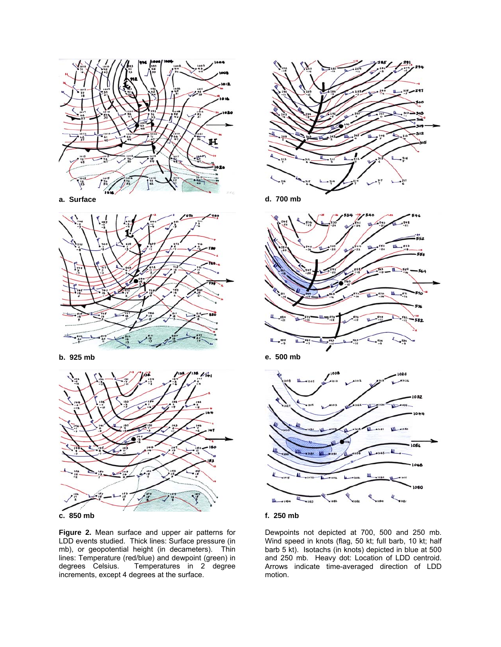

**a. Surface**



**b. 925 mb**





**Figure 2.** Mean surface and upper air patterns for LDD events studied. Thick lines: Surface pressure (in mb), or geopotential height (in decameters). Thin lines: Temperature (red/blue) and dewpoint (green) in degrees Celsius. Temperatures in 2 degree Temperatures in 2 degree increments, except 4 degrees at the surface.



**d. 700 mb**



**e. 500 mb**





Dewpoints not depicted at 700, 500 and 250 mb. Wind speed in knots (flag, 50 kt; full barb, 10 kt; half barb 5 kt). Isotachs (in knots) depicted in blue at 500 and 250 mb. Heavy dot: Location of LDD centroid. Arrows indicate time-averaged direction of LDD motion.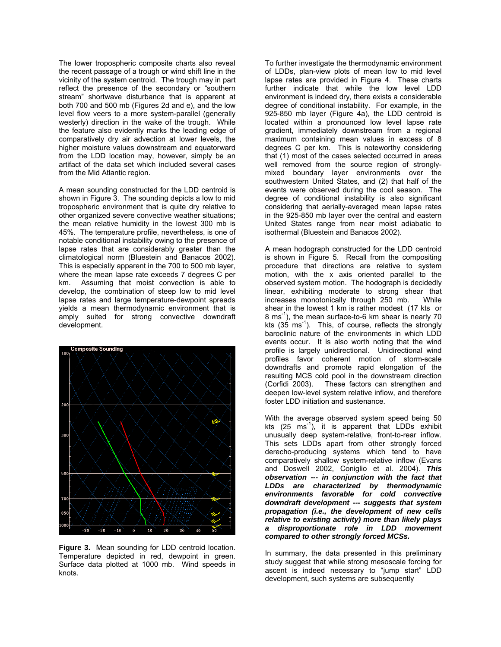The lower tropospheric composite charts also reveal the recent passage of a trough or wind shift line in the vicinity of the system centroid. The trough may in part reflect the presence of the secondary or "southern stream" shortwave disturbance that is apparent at both 700 and 500 mb (Figures 2d and e), and the low level flow veers to a more system-parallel (generally westerly) direction in the wake of the trough. While the feature also evidently marks the leading edge of comparatively dry air advection at lower levels, the higher moisture values downstream and equatorward from the LDD location may, however, simply be an artifact of the data set which included several cases from the Mid Atlantic region.

A mean sounding constructed for the LDD centroid is shown in Figure 3. The sounding depicts a low to mid tropospheric environment that is quite dry relative to other organized severe convective weather situations; the mean relative humidity in the lowest 300 mb is 45%. The temperature profile, nevertheless, is one of notable conditional instability owing to the presence of lapse rates that are considerably greater than the climatological norm (Bluestein and Banacos 2002). This is especially apparent in the 700 to 500 mb layer, where the mean lapse rate exceeds 7 degrees C per km. Assuming that moist convection is able to develop, the combination of steep low to mid level lapse rates and large temperature-dewpoint spreads yields a mean thermodynamic environment that is amply suited for strong convective downdraft development.



**Figure 3.** Mean sounding for LDD centroid location. Temperature depicted in red, dewpoint in green. Surface data plotted at 1000 mb. Wind speeds in knots.

To further investigate the thermodynamic environment of LDDs, plan-view plots of mean low to mid level lapse rates are provided in Figure 4. These charts further indicate that while the low level LDD environment is indeed dry, there exists a considerable degree of conditional instability. For example, in the 925-850 mb layer (Figure 4a), the LDD centroid is located within a pronounced low level lapse rate gradient, immediately downstream from a regional maximum containing mean values in excess of 8 degrees C per km. This is noteworthy considering that (1) most of the cases selected occurred in areas well removed from the source region of stronglymixed boundary layer environments over the southwestern United States, and (2) that half of the events were observed during the cool season. The degree of conditional instability is also significant considering that aerially-averaged mean lapse rates in the 925-850 mb layer over the central and eastern United States range from near moist adiabatic to isothermal (Bluestein and Banacos 2002).

A mean hodograph constructed for the LDD centroid is shown in Figure 5. Recall from the compositing procedure that directions are relative to system motion, with the x axis oriented parallel to the observed system motion. The hodograph is decidedly linear, exhibiting moderate to strong shear that increases monotonically through 250 mb. While shear in the lowest 1 km is rather modest (17 kts or 8 ms<sup>-1</sup>), the mean surface-to-6 km shear is nearly 70 kts  $(35 \text{ ms}^{-1})$ . This, of course, reflects the strongly baroclinic nature of the environments in which LDD events occur. It is also worth noting that the wind profile is largely unidirectional. Unidirectional wind profiles favor coherent motion of storm-scale downdrafts and promote rapid elongation of the resulting MCS cold pool in the downstream direction (Corfidi 2003). These factors can strengthen and deepen low-level system relative inflow, and therefore foster LDD initiation and sustenance.

With the average observed system speed being 50 kts  $(25 \text{ ms}^{-1})$ , it is apparent that LDDs exhibit unusually deep system-relative, front-to-rear inflow. This sets LDDs apart from other strongly forced derecho-producing systems which tend to have comparatively shallow system-relative inflow (Evans and Doswell 2002, Coniglio et al. 2004). *This observation --- in conjunction with the fact that LDDs are characterized by thermodynamic environments favorable for cold convective downdraft development --- suggests that system propagation (i.e., the development of new cells relative to existing activity) more than likely plays a disproportionate role in LDD movement compared to other strongly forced MCSs.* 

In summary, the data presented in this preliminary study suggest that while strong mesoscale forcing for ascent is indeed necessary to "jump start" LDD development, such systems are subsequently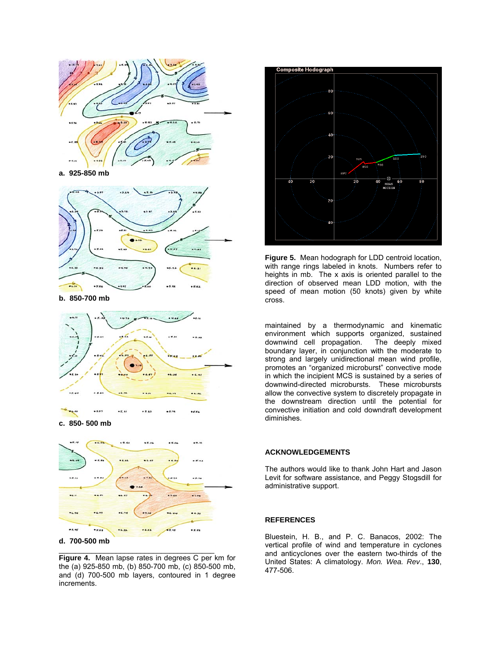

**a. 925-850 mb**



**b. 850-700 mb**



**c. 850- 500 mb**



## **d. 700-500 mb**

**Figure 4.** Mean lapse rates in degrees C per km for the (a) 925-850 mb, (b) 850-700 mb, (c) 850-500 mb, and (d) 700-500 mb layers, contoured in 1 degree increments.

\_\_\_\_\_\_\_\_\_\_\_\_\_\_\_\_\_\_\_\_\_\_\_\_\_\_\_\_\_\_\_\_\_\_\_\_\_\_



**Figure 5.** Mean hodograph for LDD centroid location, with range rings labeled in knots. Numbers refer to heights in mb. The x axis is oriented parallel to the direction of observed mean LDD motion, with the speed of mean motion (50 knots) given by white cross.

maintained by a thermodynamic and kinematic environment which supports organized, sustained<br>downwind cell propagation. The deeply mixed downwind cell propagation. boundary layer, in conjunction with the moderate to strong and largely unidirectional mean wind profile, promotes an "organized microburst" convective mode in which the incipient MCS is sustained by a series of downwind-directed microbursts. These microbursts allow the convective system to discretely propagate in the downstream direction until the potential for convective initiation and cold downdraft development diminishes.

## **ACKNOWLEDGEMENTS**

The authors would like to thank John Hart and Jason Levit for software assistance, and Peggy Stogsdill for administrative support.

#### **REFERENCES**

Bluestein, H. B., and P. C. Banacos, 2002: The vertical profile of wind and temperature in cyclones and anticyclones over the eastern two-thirds of the United States: A climatology. *Mon. Wea. Rev*., **130**, 477-506.